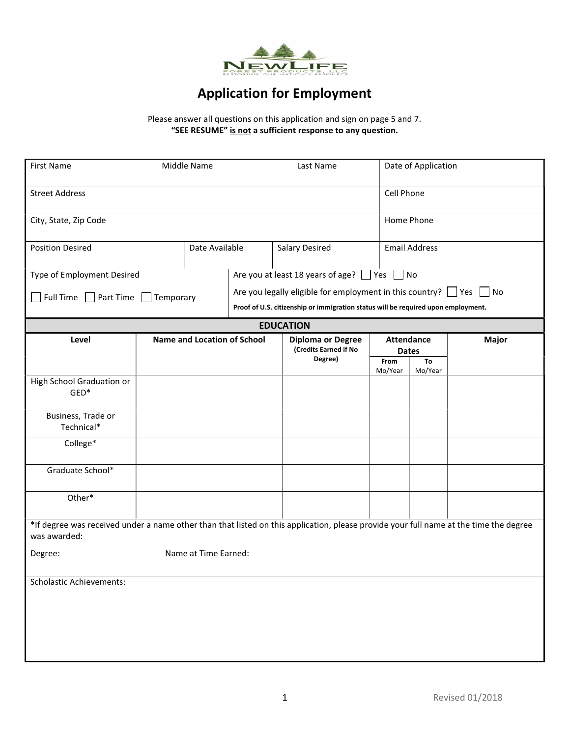

## Application for Employment

#### Please answer all questions on this application and sign on page 5 and 7. "SEE RESUME" is not a sufficient response to any question.

| <b>First Name</b>                                                                                                                                     | Middle Name<br>Last Name           |                      |  | Date of Application                                                           |                                                                                   |                      |       |  |
|-------------------------------------------------------------------------------------------------------------------------------------------------------|------------------------------------|----------------------|--|-------------------------------------------------------------------------------|-----------------------------------------------------------------------------------|----------------------|-------|--|
| <b>Street Address</b>                                                                                                                                 |                                    |                      |  |                                                                               | Cell Phone                                                                        |                      |       |  |
| City, State, Zip Code                                                                                                                                 |                                    |                      |  |                                                                               | Home Phone                                                                        |                      |       |  |
| <b>Position Desired</b>                                                                                                                               | Date Available                     |                      |  | Salary Desired                                                                |                                                                                   | <b>Email Address</b> |       |  |
| Type of Employment Desired                                                                                                                            |                                    |                      |  | Are you at least 18 years of age? $\Box$ Yes<br><b>No</b>                     |                                                                                   |                      |       |  |
| Full Time $\Box$ Part Time $\Box$<br>Temporary                                                                                                        |                                    |                      |  | Are you legally eligible for employment in this country? $\Box$ Yes $\Box$ No |                                                                                   |                      |       |  |
|                                                                                                                                                       |                                    |                      |  |                                                                               | Proof of U.S. citizenship or immigration status will be required upon employment. |                      |       |  |
|                                                                                                                                                       |                                    |                      |  | <b>EDUCATION</b>                                                              |                                                                                   |                      |       |  |
| Level                                                                                                                                                 | <b>Name and Location of School</b> |                      |  | <b>Diploma or Degree</b><br>(Credits Earned if No                             | <b>Attendance</b><br><b>Dates</b>                                                 |                      | Major |  |
|                                                                                                                                                       |                                    |                      |  | Degree)                                                                       | From<br>Mo/Year                                                                   | To<br>Mo/Year        |       |  |
| High School Graduation or<br>$GED*$                                                                                                                   |                                    |                      |  |                                                                               |                                                                                   |                      |       |  |
| Business, Trade or<br>Technical*                                                                                                                      |                                    |                      |  |                                                                               |                                                                                   |                      |       |  |
| College*                                                                                                                                              |                                    |                      |  |                                                                               |                                                                                   |                      |       |  |
| Graduate School*                                                                                                                                      |                                    |                      |  |                                                                               |                                                                                   |                      |       |  |
| Other*                                                                                                                                                |                                    |                      |  |                                                                               |                                                                                   |                      |       |  |
| *If degree was received under a name other than that listed on this application, please provide your full name at the time the degree<br>was awarded: |                                    |                      |  |                                                                               |                                                                                   |                      |       |  |
| Degree:                                                                                                                                               |                                    | Name at Time Earned: |  |                                                                               |                                                                                   |                      |       |  |
| <b>Scholastic Achievements:</b>                                                                                                                       |                                    |                      |  |                                                                               |                                                                                   |                      |       |  |
|                                                                                                                                                       |                                    |                      |  |                                                                               |                                                                                   |                      |       |  |
|                                                                                                                                                       |                                    |                      |  |                                                                               |                                                                                   |                      |       |  |
|                                                                                                                                                       |                                    |                      |  |                                                                               |                                                                                   |                      |       |  |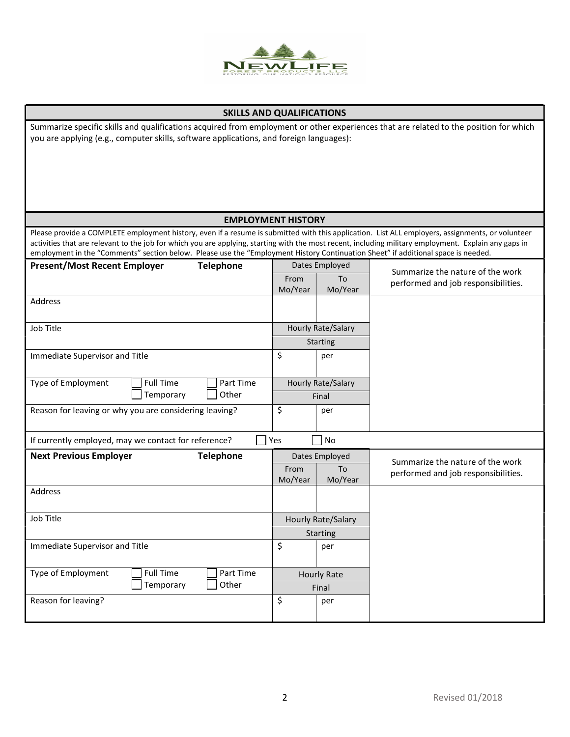

#### SKILLS AND QUALIFICATIONS

Summarize specific skills and qualifications acquired from employment or other experiences that are related to the position for which you are applying (e.g., computer skills, software applications, and foreign languages):

#### EMPLOYMENT HISTORY

Please provide a COMPLETE employment history, even if a resume is submitted with this application. List ALL employers, assignments, or volunteer activities that are relevant to the job for which you are applying, starting with the most recent, including military employment. Explain any gaps in employment in the "Comments" section below. Please use the "Employment History Continuation Sheet" if additional space is needed.

| <b>Present/Most Recent Employer</b><br><b>Telephone</b> | Dates Employed     |                    | Summarize the nature of the work                                        |
|---------------------------------------------------------|--------------------|--------------------|-------------------------------------------------------------------------|
|                                                         | From<br>Mo/Year    | To<br>Mo/Year      | performed and job responsibilities.                                     |
| Address                                                 |                    |                    |                                                                         |
| Job Title                                               |                    | Hourly Rate/Salary |                                                                         |
|                                                         |                    | <b>Starting</b>    |                                                                         |
| Immediate Supervisor and Title                          | \$                 | per                |                                                                         |
| Part Time<br>Type of Employment<br><b>Full Time</b>     | Hourly Rate/Salary |                    |                                                                         |
| Temporary<br>Other                                      |                    | Final              |                                                                         |
| Reason for leaving or why you are considering leaving?  | \$                 | per                |                                                                         |
| If currently employed, may we contact for reference?    | Yes                | <b>No</b>          |                                                                         |
|                                                         |                    |                    |                                                                         |
| <b>Next Previous Employer</b><br><b>Telephone</b>       |                    | Dates Employed     |                                                                         |
|                                                         | From<br>Mo/Year    | To<br>Mo/Year      | Summarize the nature of the work<br>performed and job responsibilities. |
| Address                                                 |                    |                    |                                                                         |
| Job Title                                               |                    | Hourly Rate/Salary |                                                                         |
|                                                         |                    | <b>Starting</b>    |                                                                         |
| Immediate Supervisor and Title                          | \$                 | per                |                                                                         |
| Type of Employment<br><b>Full Time</b><br>Part Time     |                    | <b>Hourly Rate</b> |                                                                         |
| Other<br>Temporary                                      |                    | Final              |                                                                         |
| Reason for leaving?                                     | \$                 | per                |                                                                         |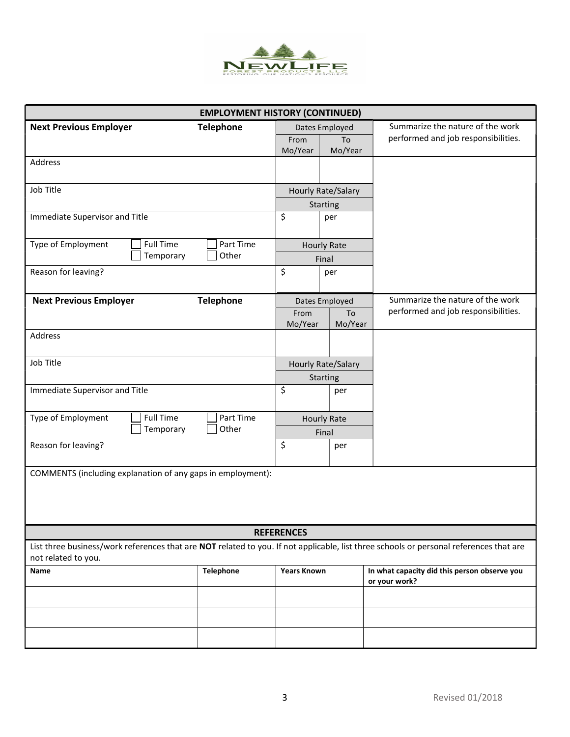

| <b>EMPLOYMENT HISTORY (CONTINUED)</b>                        |           |                    |                           |                                                               |                                                                                                                                        |
|--------------------------------------------------------------|-----------|--------------------|---------------------------|---------------------------------------------------------------|----------------------------------------------------------------------------------------------------------------------------------------|
| <b>Next Previous Employer</b><br><b>Telephone</b>            |           | Dates Employed     |                           | Summarize the nature of the work                              |                                                                                                                                        |
|                                                              |           |                    | From                      | To                                                            | performed and job responsibilities.                                                                                                    |
| Address                                                      |           |                    | Mo/Year                   | Mo/Year                                                       |                                                                                                                                        |
|                                                              |           |                    |                           |                                                               |                                                                                                                                        |
| Job Title                                                    |           |                    |                           | Hourly Rate/Salary                                            |                                                                                                                                        |
|                                                              |           |                    | Starting                  |                                                               |                                                                                                                                        |
| Immediate Supervisor and Title                               |           |                    | \$                        | per                                                           |                                                                                                                                        |
|                                                              |           |                    |                           |                                                               |                                                                                                                                        |
| <b>Full Time</b><br>Type of Employment                       |           | Part Time<br>Other | <b>Hourly Rate</b>        |                                                               |                                                                                                                                        |
|                                                              | Temporary |                    |                           | Final                                                         |                                                                                                                                        |
| Reason for leaving?                                          |           |                    | \$                        | per                                                           |                                                                                                                                        |
| <b>Next Previous Employer</b><br><b>Telephone</b>            |           | Dates Employed     |                           | Summarize the nature of the work                              |                                                                                                                                        |
|                                                              |           |                    | To<br>From                |                                                               | performed and job responsibilities.                                                                                                    |
| Address                                                      |           |                    | Mo/Year                   | Mo/Year                                                       |                                                                                                                                        |
|                                                              |           |                    |                           |                                                               |                                                                                                                                        |
| Job Title                                                    |           |                    | <b>Hourly Rate/Salary</b> |                                                               |                                                                                                                                        |
|                                                              |           |                    | Starting                  |                                                               |                                                                                                                                        |
| Immediate Supervisor and Title                               |           |                    | \$                        | per                                                           |                                                                                                                                        |
|                                                              |           |                    |                           |                                                               |                                                                                                                                        |
| <b>Full Time</b><br>Type of Employment<br>Temporary<br>Other |           | Part Time          | <b>Hourly Rate</b>        |                                                               |                                                                                                                                        |
|                                                              |           |                    | Final                     |                                                               |                                                                                                                                        |
| Reason for leaving?                                          |           |                    | \$                        | per                                                           |                                                                                                                                        |
| COMMENTS (including explanation of any gaps in employment):  |           |                    |                           |                                                               |                                                                                                                                        |
|                                                              |           |                    |                           |                                                               |                                                                                                                                        |
|                                                              |           |                    |                           |                                                               |                                                                                                                                        |
|                                                              |           |                    |                           |                                                               |                                                                                                                                        |
| <b>REFERENCES</b>                                            |           |                    |                           |                                                               |                                                                                                                                        |
| not related to you.                                          |           |                    |                           |                                                               | List three business/work references that are NOT related to you. If not applicable, list three schools or personal references that are |
| <b>Telephone</b><br>Name                                     |           | <b>Years Known</b> |                           | In what capacity did this person observe you<br>or your work? |                                                                                                                                        |
|                                                              |           |                    |                           |                                                               |                                                                                                                                        |
|                                                              |           |                    |                           |                                                               |                                                                                                                                        |
|                                                              |           |                    |                           |                                                               |                                                                                                                                        |
|                                                              |           |                    |                           |                                                               |                                                                                                                                        |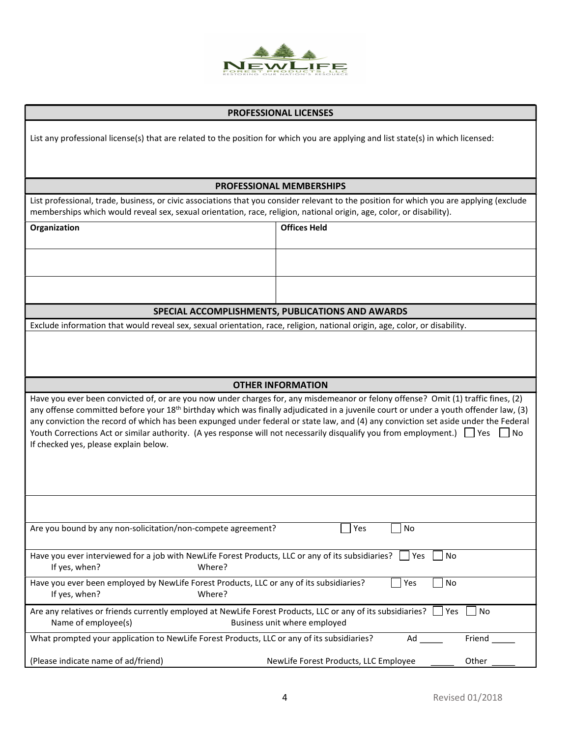

| List any professional license(s) that are related to the position for which you are applying and list state(s) in which licensed:                                                                                                                                                                                                                                                                                                                                                                                                                                                                             |                                                  |  |  |  |  |
|---------------------------------------------------------------------------------------------------------------------------------------------------------------------------------------------------------------------------------------------------------------------------------------------------------------------------------------------------------------------------------------------------------------------------------------------------------------------------------------------------------------------------------------------------------------------------------------------------------------|--------------------------------------------------|--|--|--|--|
| <b>PROFESSIONAL MEMBERSHIPS</b>                                                                                                                                                                                                                                                                                                                                                                                                                                                                                                                                                                               |                                                  |  |  |  |  |
| List professional, trade, business, or civic associations that you consider relevant to the position for which you are applying (exclude<br>memberships which would reveal sex, sexual orientation, race, religion, national origin, age, color, or disability).                                                                                                                                                                                                                                                                                                                                              |                                                  |  |  |  |  |
| Organization                                                                                                                                                                                                                                                                                                                                                                                                                                                                                                                                                                                                  | <b>Offices Held</b>                              |  |  |  |  |
|                                                                                                                                                                                                                                                                                                                                                                                                                                                                                                                                                                                                               |                                                  |  |  |  |  |
|                                                                                                                                                                                                                                                                                                                                                                                                                                                                                                                                                                                                               |                                                  |  |  |  |  |
|                                                                                                                                                                                                                                                                                                                                                                                                                                                                                                                                                                                                               | SPECIAL ACCOMPLISHMENTS, PUBLICATIONS AND AWARDS |  |  |  |  |
| Exclude information that would reveal sex, sexual orientation, race, religion, national origin, age, color, or disability.                                                                                                                                                                                                                                                                                                                                                                                                                                                                                    |                                                  |  |  |  |  |
|                                                                                                                                                                                                                                                                                                                                                                                                                                                                                                                                                                                                               |                                                  |  |  |  |  |
|                                                                                                                                                                                                                                                                                                                                                                                                                                                                                                                                                                                                               | <b>OTHER INFORMATION</b>                         |  |  |  |  |
| Have you ever been convicted of, or are you now under charges for, any misdemeanor or felony offense? Omit (1) traffic fines, (2)<br>any offense committed before your 18 <sup>th</sup> birthday which was finally adjudicated in a juvenile court or under a youth offender law, (3)<br>any conviction the record of which has been expunged under federal or state law, and (4) any conviction set aside under the Federal<br>Youth Corrections Act or similar authority. (A yes response will not necessarily disqualify you from employment.) $\Box$ Yes<br>l No<br>If checked yes, please explain below. |                                                  |  |  |  |  |
|                                                                                                                                                                                                                                                                                                                                                                                                                                                                                                                                                                                                               |                                                  |  |  |  |  |
| Are you bound by any non-solicitation/non-compete agreement?                                                                                                                                                                                                                                                                                                                                                                                                                                                                                                                                                  | Yes<br>No                                        |  |  |  |  |
| Have you ever interviewed for a job with NewLife Forest Products, LLC or any of its subsidiaries?<br>If yes, when?<br>Where?                                                                                                                                                                                                                                                                                                                                                                                                                                                                                  | No<br>Yes                                        |  |  |  |  |
| Have you ever been employed by NewLife Forest Products, LLC or any of its subsidiaries?<br>If yes, when?<br>Where?                                                                                                                                                                                                                                                                                                                                                                                                                                                                                            | No<br>Yes                                        |  |  |  |  |
| Are any relatives or friends currently employed at NewLife Forest Products, LLC or any of its subsidiaries?<br>  No<br>Yes<br>Name of employee(s)<br>Business unit where employed                                                                                                                                                                                                                                                                                                                                                                                                                             |                                                  |  |  |  |  |
| What prompted your application to NewLife Forest Products, LLC or any of its subsidiaries?<br>Ad<br>Friend                                                                                                                                                                                                                                                                                                                                                                                                                                                                                                    |                                                  |  |  |  |  |
| (Please indicate name of ad/friend)                                                                                                                                                                                                                                                                                                                                                                                                                                                                                                                                                                           | NewLife Forest Products, LLC Employee<br>Other   |  |  |  |  |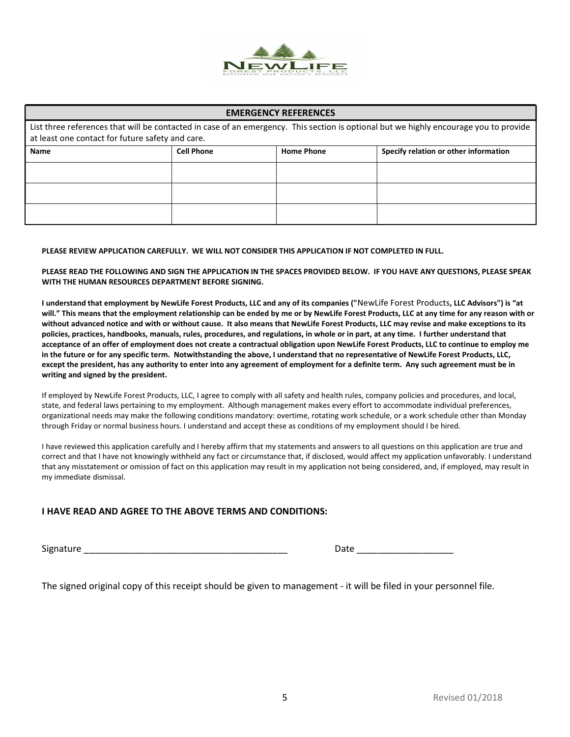

# EMERGENCY REFERENCES List three references that will be contacted in case of an emergency. This section is optional but we highly encourage you to provide at least one contact for future safety and care. Name Specify relation or other information  $\vert$  Cell Phone Specify relation or other information

#### PLEASE REVIEW APPLICATION CAREFULLY. WE WILL NOT CONSIDER THIS APPLICATION IF NOT COMPLETED IN FULL.

#### PLEASE READ THE FOLLOWING AND SIGN THE APPLICATION IN THE SPACES PROVIDED BELOW. IF YOU HAVE ANY QUESTIONS, PLEASE SPEAK WITH THE HUMAN RESOURCES DEPARTMENT BEFORE SIGNING.

I understand that employment by NewLife Forest Products, LLC and any of its companies ("NewLife Forest Products, LLC Advisors") is "at will." This means that the employment relationship can be ended by me or by NewLife Forest Products, LLC at any time for any reason with or without advanced notice and with or without cause. It also means that NewLife Forest Products, LLC may revise and make exceptions to its policies, practices, handbooks, manuals, rules, procedures, and regulations, in whole or in part, at any time. I further understand that acceptance of an offer of employment does not create a contractual obligation upon NewLife Forest Products, LLC to continue to employ me in the future or for any specific term. Notwithstanding the above, I understand that no representative of NewLife Forest Products, LLC, except the president, has any authority to enter into any agreement of employment for a definite term. Any such agreement must be in writing and signed by the president.

If employed by NewLife Forest Products, LLC, I agree to comply with all safety and health rules, company policies and procedures, and local, state, and federal laws pertaining to my employment. Although management makes every effort to accommodate individual preferences, organizational needs may make the following conditions mandatory: overtime, rotating work schedule, or a work schedule other than Monday through Friday or normal business hours. I understand and accept these as conditions of my employment should I be hired.

I have reviewed this application carefully and I hereby affirm that my statements and answers to all questions on this application are true and correct and that I have not knowingly withheld any fact or circumstance that, if disclosed, would affect my application unfavorably. I understand that any misstatement or omission of fact on this application may result in my application not being considered, and, if employed, may result in my immediate dismissal.

#### I HAVE READ AND AGREE TO THE ABOVE TERMS AND CONDITIONS:

Signature extending the state of the state of the state of the state of the Date  $\sim$ 

5 Revised 01/2018

The signed original copy of this receipt should be given to management - it will be filed in your personnel file.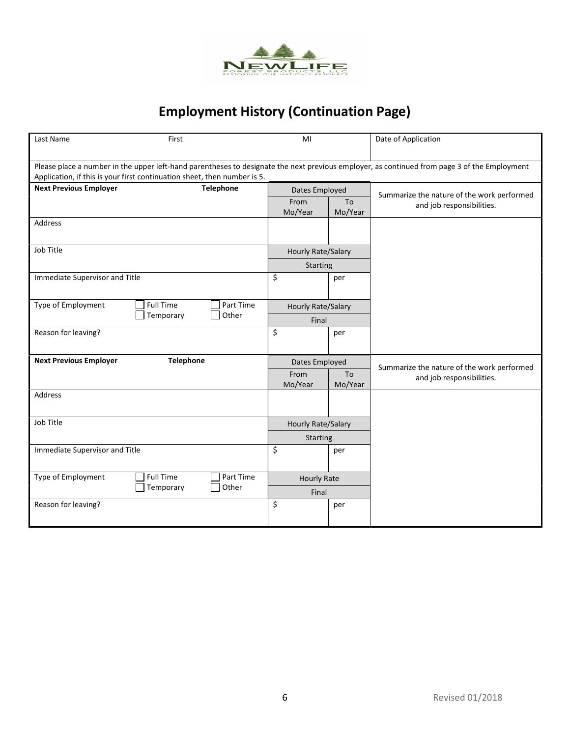

## Employment History (Continuation Page)

| Last Name                                                                                                                                                                                                                | First                         |                           |               | Date of Application                                                     |
|--------------------------------------------------------------------------------------------------------------------------------------------------------------------------------------------------------------------------|-------------------------------|---------------------------|---------------|-------------------------------------------------------------------------|
| Please place a number in the upper left-hand parentheses to designate the next previous employer, as continued from page 3 of the Employment<br>Application, if this is your first continuation sheet, then number is 5. |                               |                           |               |                                                                         |
| <b>Next Previous Employer</b><br><b>Telephone</b>                                                                                                                                                                        |                               | Dates Employed            |               | Summarize the nature of the work performed                              |
|                                                                                                                                                                                                                          |                               |                           | To<br>Mo/Year | and job responsibilities.                                               |
| Address                                                                                                                                                                                                                  |                               |                           |               |                                                                         |
| Job Title                                                                                                                                                                                                                |                               | <b>Hourly Rate/Salary</b> |               |                                                                         |
|                                                                                                                                                                                                                          |                               | <b>Starting</b>           |               |                                                                         |
| Immediate Supervisor and Title                                                                                                                                                                                           |                               | \$                        | per           |                                                                         |
| Type of Employment                                                                                                                                                                                                       | <b>Full Time</b><br>Part Time | <b>Hourly Rate/Salary</b> |               |                                                                         |
|                                                                                                                                                                                                                          | Other<br>Temporary            |                           | Final         |                                                                         |
| Reason for leaving?                                                                                                                                                                                                      |                               | \$                        | per           |                                                                         |
| <b>Next Previous Employer</b><br><b>Telephone</b>                                                                                                                                                                        |                               | Dates Employed            |               |                                                                         |
|                                                                                                                                                                                                                          |                               | From<br>Mo/Year           | To<br>Mo/Year | Summarize the nature of the work performed<br>and job responsibilities. |
| Address                                                                                                                                                                                                                  |                               |                           |               |                                                                         |
| Job Title                                                                                                                                                                                                                |                               | <b>Hourly Rate/Salary</b> |               |                                                                         |
|                                                                                                                                                                                                                          | Starting                      |                           |               |                                                                         |
| Immediate Supervisor and Title                                                                                                                                                                                           |                               | \$                        | per           |                                                                         |
| Part Time<br>Type of Employment<br><b>Full Time</b><br>Other<br>Temporary                                                                                                                                                |                               | <b>Hourly Rate</b>        |               |                                                                         |
|                                                                                                                                                                                                                          |                               | Final                     |               |                                                                         |
| Reason for leaving?                                                                                                                                                                                                      |                               | \$                        | per           |                                                                         |